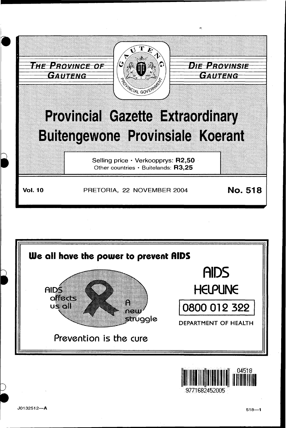



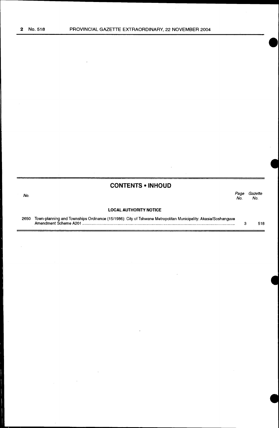$\sim$ 

 $\sim 10^7$ 

 $\sim$ 

 $\equiv$ 

 $\bar{z}$ 

|      | <b>CONTENTS • INHOUD</b>                                                                                                               |            |                |
|------|----------------------------------------------------------------------------------------------------------------------------------------|------------|----------------|
| No.  |                                                                                                                                        | Page<br>Nο | Gazette<br>No. |
|      | <b>LOCAL AUTHORITY NOTICE</b>                                                                                                          |            |                |
| 2650 | Town-planning and Townships Ordinance (15/1986): City of Tshwane Metropolitan Municipality: Akasia/Soshanguve<br>Amendment Scheme A201 | З          | 518            |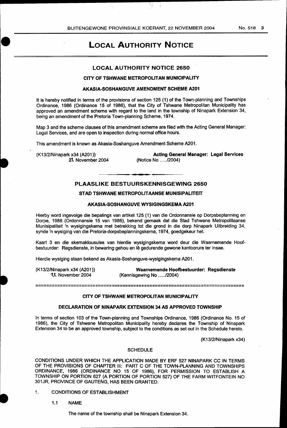N.

# LOCAL AUTHORITY NOTICE

### LOCAL AUTHORITY NOTICE 2650

### CITY OF TSHWANE METROPOLITAN MUNICIPALITY

### AKASIA-SOSHANGUVE AMENDMENT SCHEME A201

It is hereby notified in terms of the provisions of section 125 (1) of the Town-planning and Townships Ordinance, 1986 (Ordinance 15 of 1986), that the City of Tshwane Metropolitan Municipality has approved an amendment scheme with regard to the land in the township of Ninapark Extension 34, being an amendment of the Pretoria Town-planning Scheme, 1974.

Map 3 and the scheme clauses of this amendment scheme are filed with the Acting General Manager: Legal Services, and are open to inspection during normal office hours.

This amendment is known as Akasia-Soshanguve Amendment Scheme A201.

(K13/2/Ninapark x34 (A201)) l'l. November 2004

Acting General Manager: Legal Services (Notice No .... ./2004)

### PLAASLIKE BESTUURSKENNISGEWING 2650

### STAD TSHWANE METROPOLITAANSE MUNISIPALITEIT

#### AKASIA-SOSHANGUVE WYSIGINGSKEMA A201

Hierby word ingevolge die bepalings van artikel 125 (1) van die Ordonnansie op Dorpsbeplanning en Dorpe, 1986 (Ordonnansie 15 van 1986), bekend gemaak dat die Stad Tshwane Metropolitaanse Munisipaliteit 'n wysigingskema met betrekking tot die grond in die dorp Ninapark Uitbreiding 34, synde 'n wysiging van die Pretoria-dorpsbeplanningskema, 1974, goedgekeur het.

Kaart 3 en die skemaklousules van hierdie wysigingskema word deur die Waarnemende Hoofbestuurder: Regsdienste, in bewaring gehou en le gedurende gewone kantoorure ter insae.

Hierdie wysiging staan bekend as Akasia-Soshanguve-wysigingskema A201.

(K13/2/Ninapark x34 (A201)) **1..** November 2004

Waarnemende Hoofbestuurder: Regsdienste (Kennisgewing No .... ./2004)

#### 20002222222222222222222222222

#### CITY OF TSHWANE METROPOLITAN MUNICIPALITY

#### . DECLARATION OF NINAPARK EXTENSION 34 AS APPROVED TOWNSHIP

In terms of section 103 of the Town-planning and Townships Ordinance, 1986 (Ordinance No. 15 of 1986), the City of Tshwane Metropolitan Municipality hereby declares the Township of Ninapark Extension 34 to be an approved township, subject to the conditions as set out in the Schedule hereto.

(K13/2/Ninapark x34)

#### **SCHEDULE**

CONDITIONS UNDER WHICH THE APPLICATION MADE BY ERF 527 NINAPARK CC IN TERMS OF THE PROVISIONS OF CHAPTER Ill: PART C OF THE TOWN-PLANNING AND TOWNSHIPS ORDINANCE, 1986 (ORDINANCE NO 15 OF 1986), FOR PERMISSION TO ESTABLISH A TOWNSHIP ON PORTION 627 (A PORTION OF PORTION 527) OF THE FARM WITFONTEIN NO 301JR, PROVINCE OF GAUTENG, HAS BEEN GRANTED.

- 1. CONDITIONS OF ESTABLISHMENT
	- 1.1 NAME

The name of the township shall be Ninapark Extension 34.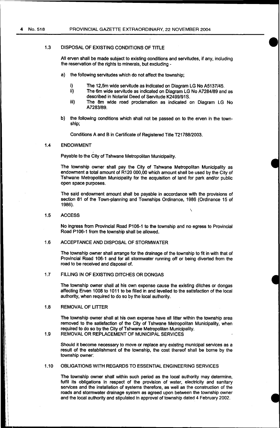#### 1.3 DISPOSAL OF EXISTING CONDITIONS OF TITLE

All erven shall be made subject to existing conditions and servitudes, if any, including the reservation of the rights to minerals, but excluding -

- a) the following servitudes which do not affect the township;
	- i) The 12,5m wide servitude as indicated on Diagram LG No A5137/45.<br>ii) The 6m wide servitude as indicated on Diagram LG No A7284/89 and
	- The 6m wide servitude as indicated on Diagram LG No A7284/89 and as described in Notarial Deed of Servitude K2499/91S.
	- iii) The 8m wide road proclamation as indicated on Diagram LG No A7283/89.
- b) the following conditions which shall not be passed on to the erven in the township;

Conditions A and B in Certificate of Registered Title T21788/2003.

### 1.4 ENDOWMENT

Payable to the City of Tshwane Metropolitan Municipality.

The township owner shall pay the City of Tshwane Metropolitan Municipality as endowment a total amount of R120 000,00 which amount shall be used by the City of Tshwane Metropolitan Municipality for the acquisition of land for park and/or public open space purposes.

The said endowment amount shall be payable in accordance with the provisions of section 81 of the Town-planning and Townships Ordinance, 1986 (Ordinance 15 of 1986).

\

### 1.5 ACCESS

No ingress from Provincial Road P106-1 to the township and no egress to Provincial Road P106-1 from the township shall be allowed.

#### 1.6 ACCEPTANCE AND DISPOSAL OF STORMWATER

The township owner shall arrange for the drainage of the township to fit in with that of Provincial Road 106-1 and for all stormwater running off or being diverted from the road to be received and disposal of.

## 1.7 FILLING IN OF EXISTING DITCHES OR DONGAS

The township owner shall at his own expense cause the existing ditches or dongas affecting Erven 1008 to 1011 to be filled in and levelled to the satisfaction of the local authority, when required to do so by the local authority.

#### 1.8 REMOVAL OF LITTER

The township owner shall at his own expense have all litter within the township area removed to the satisfaction of the City of Tshwane Metropolitan Municipality, when required to do so by the City of Tshwane Metropolitan Municipality.

#### 1.9 REMOVAL OR REPLACEMENT OF MUNICIPAL SERVICES

Should it become necessary to move or replace any existing municipal services as a result of the establishment of the township, the cost thereof shall be borne by the township owner:

#### 1.10 OBLIGATIONS WITH REGARDS TO ESSENTIAL ENGINEERING SERVICES

The township owner shall within such period as the local authority may determine, fulfil its obligations in respect of the provision of water, electricity and sanitary services and the installation of systems therefore, as well as the construction of the roads and stormwater drainage system as agreed upon between the township owner and the local authority and stipulated in approval of township dated 4 February 2002.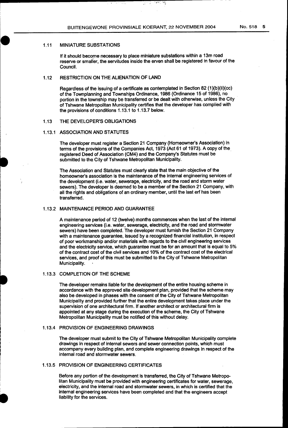27 F

, ket . نيون.<br>م

#### 1.11 MINIATURE SUBSTATIONS

If it should become necessary to place miniature substations within a 13m road reserve or smalier, the servitudes inside the erven shall be registered in favour of the Council.

### 1.12 RESTRICTION ON THE ALIENATION OF LAND

Regardless of the issuing of a certificate as contemplated in Section 82 (1 )(b)(ii)(cc) of the Townplanning and Townships Ordinance, 1986 (Ordinance 15 of 1986), no portion in the township may be transferred or be dealt with otherwise, unless the City of Tshwane Metropolitan Municipality certifies that the developer has complied with the provisions of conditions 1.13.1 to 1.13.7 below.

### 1.13 THE DEVELOPER'S OBLIGATIONS

#### 1.13.1 ASSOCIATION AND STATUTES

The developer must register a Section 21 Company (Homeowner's Association) in terms of the provisions of the Companies Act, 1973 (Act 61 of 1973). A copy of the. registered Deed of Association (CM4) and the Company's Statutes must be submitted to the City of Tshwane Metropolitan Municipality.

The Association and Statutes must clearly state that the main objective of the homeowner's association is the maintenance of the internal engineering services of the development (i.e. water, sewerage, electricity, and the road and storm water sewers). The developer is deemed to be a member of the Section 21 Company, with all the rights and obligations of an ordinary member, until the last erf has been transferred.

### 1.13.2 MAINTENANCE PERIOD AND GUARANTEE

A maintenance period of 12 (twelve) months commences when the last of the internal engineering services (i.e. water, sewerage, electricity, and the road and stormwater sewers) have been completed. The developer must furnish the Section 21 Company with a maintenance guarantee, issued by a recognized financial institution, in respect of poor workmanship and/or materials with regards to the civil engineering services and the electricity service, which guarantee must be for an amount that is equal to 5% of the contract cost of the civil services and 10% of the contract cost of the electrical services, and proof of this must be submitted to the City of Tshwane Metropolitan Municipality.

#### 1.13.3 COMPLETION OF THE SCHEME

The developer remains liable for the development of the entire housing scheme in accordance with the approved site development plan, provided that the scheme may also be developed in phases with the consent of the City of Tshwane Metropolitan Municipality and provided further that the entire development takes place under the supervision of one architectural firm. If another architect or architectural firm is appointed at any stage during the execution of the scheme, the City of Tshwane Metropolitan Municipality must be notified of this without delay.

### 1.13.4 PROVISION OF ENGINEERING DRAWINGS

The developer must submit to the City of Tshwane Metropolitan Municipality complete drawings in respect of internal sewers and sewer connection points, which must accompany every building plan, and complete engineering drawings in respect of the internal road and stormwater sewers.

### 1.13.5 PROVISION OF ENGINEERING CERTIFICATES

•

Before any portion of the development is transferred, the City of Tshwane Metropolitan Municipality must be provided with engineering certificates for water, sewerage, electricity, and the internal road and stormwater sewers, in which is certified that the internal engineering services have been completed and that the engineers accept liability for the services.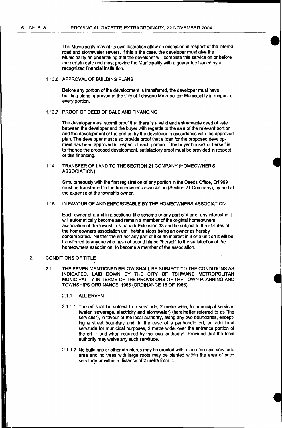The Municipality may at its own discretion allow an exception in respect of the internal road and stormwater sewers. If this is the case, the developer must give the Municipality an undertaking that the developer will complete this service on or before the certain date and must provide the Municipality with a guarantee issued by a recognized financial institution.

#### 1.13.6 APPROVAL OF BUILDING PLANS

Before any portion of the development is transferred, the developer must have building plans approved at the City of Tshwane Metropolitan Municipality in respect of every portion.

#### 1.13.7 PROOF OF DEED OF SALE AND FINANCING

The developer must submit proof that there is a valid and enforceable deed of sale between the developer and the buyer with regards to the sale of the relevant portion and the development of the portion by the developer in accordance with the approved plan. The developer must also provide proof that a loan for the proposed development has been approved in respect of each portion. If the buyer himself or herself is to finance the proposed development, satisfactory proof must be provided in respect of this financing.

1.14 TRANSFER OF LAND TO THE SECTION 21 COMPANY (HOMEOWNER'S ASSOCIATION)

Simultaneously with the first registration of any portion in the Deeds Office, Erf 999 must be transferred to the homeowner's association (Section 21 Company), by and at the expense of the township owner.

### 1.15 IN FAVOUR OF AND ENFORCEABLE BY THE HOMEOWNERS ASSOCIATION

Each owner of a unit in a sectional title scheme or any part of it or of any interest in it will automatically become and remain a member of the original homeowners association of the township Ninapark Extension 33 and be subject to the statutes of the homeowners association until he/she stops being an owner as hereby contemplated. Neither the erf nor any part of it or an interest in it or a unit on it will be transferred to anyone who has not bound himself/herself, to the satisfaction of the homeowners association, to become a member of the association.

#### 2. CONDITIONS OF TITLE

 $\overline{\phantom{a}}$ 

2.1 THE ERVEN MENTIONED BELOW SHALL BE SUBJECT TO THE CONDITIONS AS INDICATED, LAID DOWN BY THE CITY OF TSHWANE METROPOLITAN MUNICIPALITY IN TERMS OF THE PROVISIONS OF THE TOWN-PLANNING AND TOWNSHIPS ORDINANCE, 1986 (ORDINANCE 15 OF 1986):

2.1.1 All ERVEN

- 2.1.1.1 The erf shall be subject to a servitude, 2 metre wide, for municipal services (water, sewerage, electricity and stormwater) (hereinafter referred to as "the services"), in favour of the local authority, along any two boundaries, excepting a street boundary and, in the case of a panhandle erf, an additional servitude for municipal purposes, 2 metre wide, over the entrance portion of the erf, if and when required by the local authority: Provided that the local authority may waive any such servitude.
- 2.1.1.2 No buildings or other structures may be erected within the aforesaid servitude area and no trees with large roots may be planted within the area of such servitude or within a distance of 2 metre from it.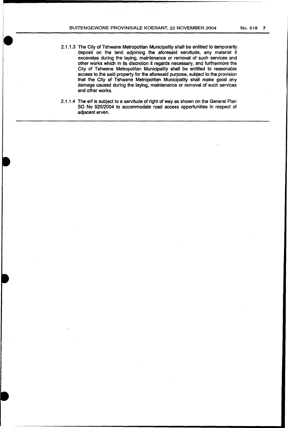- 2.1.1.3 The City of Tshwane Metropolitan Municipality shall be entitled to temporarily deposit on the land adjoining the aforesaid servitude, any material it excavates during the laying, maintenance or removal of such services and other works which in its discretion it regards necessary, and furthermore the City of Tshwane Metropolitan Municipality shall be entitled to reasonable access to the said property for the aforesaid purpose, subject to the provision that the City of Tshwane Metropolitan Municipality shall make good any damage caused during the laying, maintenance or removal of such services and other works.
- 2.1.1.4 The erf is subject to a servitude of right of way as shown on the General Plan SG No 920/2004 to accommodate road access opportunities in respect of adjacent erven.